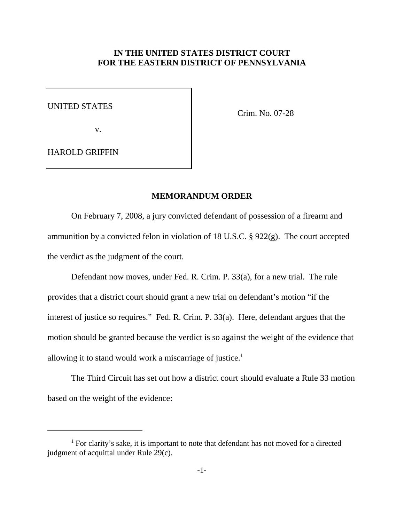## **IN THE UNITED STATES DISTRICT COURT FOR THE EASTERN DISTRICT OF PENNSYLVANIA**

UNITED STATES

v.

Crim. No. 07-28

HAROLD GRIFFIN

## **MEMORANDUM ORDER**

On February 7, 2008, a jury convicted defendant of possession of a firearm and ammunition by a convicted felon in violation of 18 U.S.C. § 922(g). The court accepted the verdict as the judgment of the court.

Defendant now moves, under Fed. R. Crim. P. 33(a), for a new trial. The rule provides that a district court should grant a new trial on defendant's motion "if the interest of justice so requires." Fed. R. Crim. P. 33(a). Here, defendant argues that the motion should be granted because the verdict is so against the weight of the evidence that allowing it to stand would work a miscarriage of justice. 1

The Third Circuit has set out how a district court should evaluate a Rule 33 motion based on the weight of the evidence:

 $1$  For clarity's sake, it is important to note that defendant has not moved for a directed judgment of acquittal under Rule 29(c).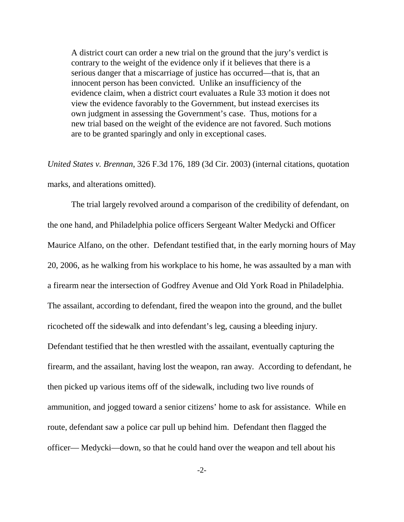A district court can order a new trial on the ground that the jury's verdict is contrary to the weight of the evidence only if it believes that there is a serious danger that a miscarriage of justice has occurred—that is, that an innocent person has been convicted. Unlike an insufficiency of the evidence claim, when a district court evaluates a Rule 33 motion it does not view the evidence favorably to the Government, but instead exercises its own judgment in assessing the Government's case. Thus, motions for a new trial based on the weight of the evidence are not favored. Such motions are to be granted sparingly and only in exceptional cases.

*United States v. Brennan*, 326 F.3d 176, 189 (3d Cir. 2003) (internal citations, quotation marks, and alterations omitted).

The trial largely revolved around a comparison of the credibility of defendant, on the one hand, and Philadelphia police officers Sergeant Walter Medycki and Officer Maurice Alfano, on the other. Defendant testified that, in the early morning hours of May 20, 2006, as he walking from his workplace to his home, he was assaulted by a man with a firearm near the intersection of Godfrey Avenue and Old York Road in Philadelphia. The assailant, according to defendant, fired the weapon into the ground, and the bullet ricocheted off the sidewalk and into defendant's leg, causing a bleeding injury. Defendant testified that he then wrestled with the assailant, eventually capturing the firearm, and the assailant, having lost the weapon, ran away. According to defendant, he then picked up various items off of the sidewalk, including two live rounds of ammunition, and jogged toward a senior citizens' home to ask for assistance. While en route, defendant saw a police car pull up behind him. Defendant then flagged the officer— Medycki—down, so that he could hand over the weapon and tell about his

-2-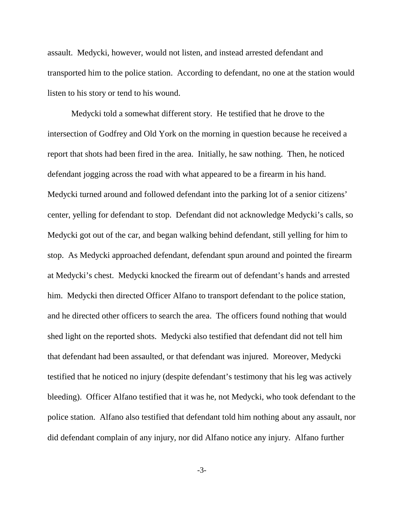assault. Medycki, however, would not listen, and instead arrested defendant and transported him to the police station. According to defendant, no one at the station would listen to his story or tend to his wound.

Medycki told a somewhat different story. He testified that he drove to the intersection of Godfrey and Old York on the morning in question because he received a report that shots had been fired in the area. Initially, he saw nothing. Then, he noticed defendant jogging across the road with what appeared to be a firearm in his hand. Medycki turned around and followed defendant into the parking lot of a senior citizens' center, yelling for defendant to stop. Defendant did not acknowledge Medycki's calls, so Medycki got out of the car, and began walking behind defendant, still yelling for him to stop. As Medycki approached defendant, defendant spun around and pointed the firearm at Medycki's chest. Medycki knocked the firearm out of defendant's hands and arrested him. Medycki then directed Officer Alfano to transport defendant to the police station, and he directed other officers to search the area. The officers found nothing that would shed light on the reported shots. Medycki also testified that defendant did not tell him that defendant had been assaulted, or that defendant was injured. Moreover, Medycki testified that he noticed no injury (despite defendant's testimony that his leg was actively bleeding). Officer Alfano testified that it was he, not Medycki, who took defendant to the police station. Alfano also testified that defendant told him nothing about any assault, nor did defendant complain of any injury, nor did Alfano notice any injury. Alfano further

-3-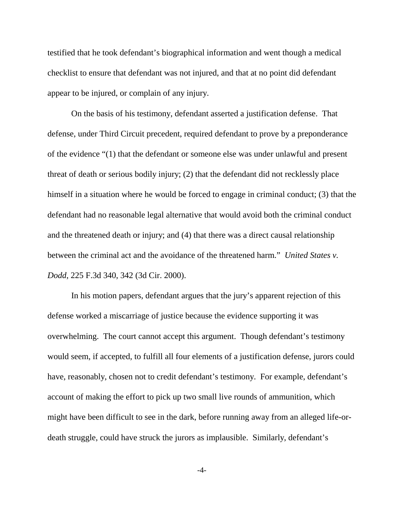testified that he took defendant's biographical information and went though a medical checklist to ensure that defendant was not injured, and that at no point did defendant appear to be injured, or complain of any injury.

On the basis of his testimony, defendant asserted a justification defense. That defense, under Third Circuit precedent, required defendant to prove by a preponderance of the evidence "(1) that the defendant or someone else was under unlawful and present threat of death or serious bodily injury; (2) that the defendant did not recklessly place himself in a situation where he would be forced to engage in criminal conduct; (3) that the defendant had no reasonable legal alternative that would avoid both the criminal conduct and the threatened death or injury; and (4) that there was a direct causal relationship between the criminal act and the avoidance of the threatened harm." *United States v. Dodd*, 225 F.3d 340, 342 (3d Cir. 2000).

In his motion papers, defendant argues that the jury's apparent rejection of this defense worked a miscarriage of justice because the evidence supporting it was overwhelming. The court cannot accept this argument. Though defendant's testimony would seem, if accepted, to fulfill all four elements of a justification defense, jurors could have, reasonably, chosen not to credit defendant's testimony. For example, defendant's account of making the effort to pick up two small live rounds of ammunition, which might have been difficult to see in the dark, before running away from an alleged life-ordeath struggle, could have struck the jurors as implausible. Similarly, defendant's

-4-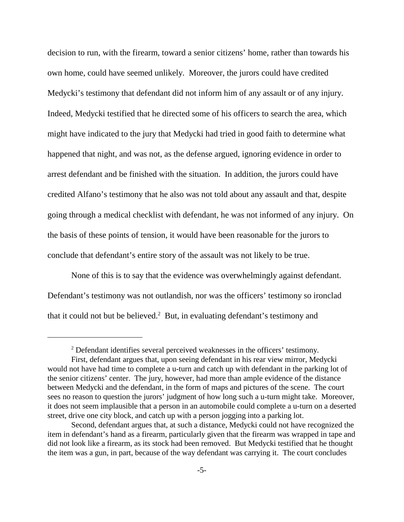decision to run, with the firearm, toward a senior citizens' home, rather than towards his own home, could have seemed unlikely. Moreover, the jurors could have credited Medycki's testimony that defendant did not inform him of any assault or of any injury. Indeed, Medycki testified that he directed some of his officers to search the area, which might have indicated to the jury that Medycki had tried in good faith to determine what happened that night, and was not, as the defense argued, ignoring evidence in order to arrest defendant and be finished with the situation. In addition, the jurors could have credited Alfano's testimony that he also was not told about any assault and that, despite going through a medical checklist with defendant, he was not informed of any injury. On the basis of these points of tension, it would have been reasonable for the jurors to conclude that defendant's entire story of the assault was not likely to be true.

None of this is to say that the evidence was overwhelmingly against defendant. Defendant's testimony was not outlandish, nor was the officers' testimony so ironclad that it could not but be believed.<sup>2</sup> But, in evaluating defendant's testimony and

<sup>&</sup>lt;sup>2</sup> Defendant identifies several perceived weaknesses in the officers' testimony. First, defendant argues that, upon seeing defendant in his rear view mirror, Medycki would not have had time to complete a u-turn and catch up with defendant in the parking lot of the senior citizens' center. The jury, however, had more than ample evidence of the distance between Medycki and the defendant, in the form of maps and pictures of the scene. The court sees no reason to question the jurors' judgment of how long such a u-turn might take. Moreover, it does not seem implausible that a person in an automobile could complete a u-turn on a deserted street, drive one city block, and catch up with a person jogging into a parking lot.

Second, defendant argues that, at such a distance, Medycki could not have recognized the item in defendant's hand as a firearm, particularly given that the firearm was wrapped in tape and did not look like a firearm, as its stock had been removed. But Medycki testified that he thought the item was a gun, in part, because of the way defendant was carrying it. The court concludes